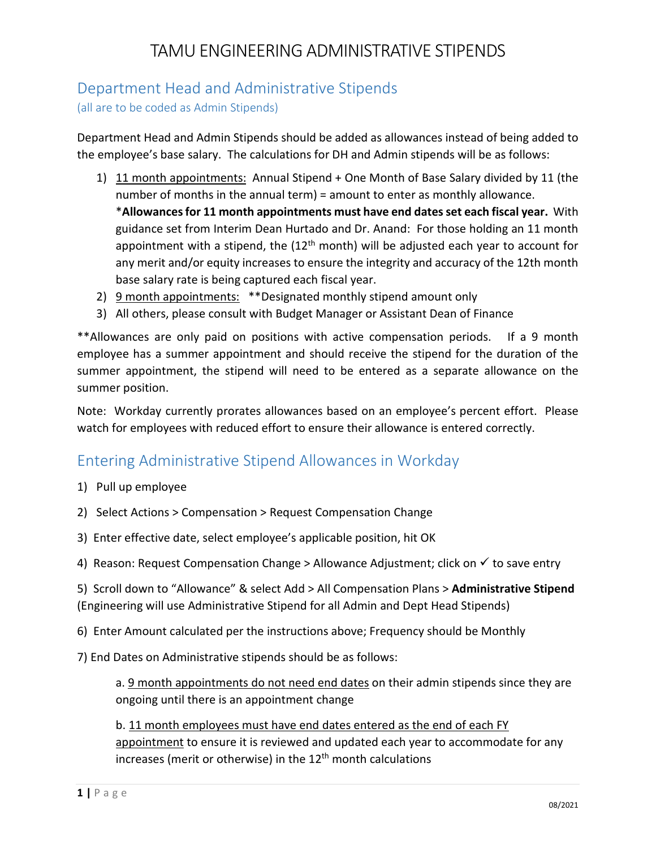# TAMU ENGINEERING ADMINISTRATIVE STIPENDS

## Department Head and Administrative Stipends

(all are to be coded as Admin Stipends)

Department Head and Admin Stipends should be added as allowances instead of being added to the employee's base salary. The calculations for DH and Admin stipends will be as follows:

1) 11 month appointments: Annual Stipend + One Month of Base Salary divided by 11 (the number of months in the annual term) = amount to enter as monthly allowance.

\***Allowances for 11 month appointments must have end dates set each fiscal year.** With guidance set from Interim Dean Hurtado and Dr. Anand: For those holding an 11 month appointment with a stipend, the  $(12<sup>th</sup>$  month) will be adjusted each year to account for any merit and/or equity increases to ensure the integrity and accuracy of the 12th month base salary rate is being captured each fiscal year.

- 2) 9 month appointments: \*\*Designated monthly stipend amount only
- 3) All others, please consult with Budget Manager or Assistant Dean of Finance

\*\*Allowances are only paid on positions with active compensation periods. If a 9 month employee has a summer appointment and should receive the stipend for the duration of the summer appointment, the stipend will need to be entered as a separate allowance on the summer position.

Note: Workday currently prorates allowances based on an employee's percent effort. Please watch for employees with reduced effort to ensure their allowance is entered correctly.

## Entering Administrative Stipend Allowances in Workday

- 1) Pull up employee
- 2) Select Actions > Compensation > Request Compensation Change
- 3) Enter effective date, select employee's applicable position, hit OK
- 4) Reason: Request Compensation Change > Allowance Adjustment; click on  $\checkmark$  to save entry

5) Scroll down to "Allowance" & select Add > All Compensation Plans > **Administrative Stipend** (Engineering will use Administrative Stipend for all Admin and Dept Head Stipends)

6) Enter Amount calculated per the instructions above; Frequency should be Monthly

7) End Dates on Administrative stipends should be as follows:

a. 9 month appointments do not need end dates on their admin stipends since they are ongoing until there is an appointment change

b. 11 month employees must have end dates entered as the end of each FY appointment to ensure it is reviewed and updated each year to accommodate for any increases (merit or otherwise) in the  $12<sup>th</sup>$  month calculations